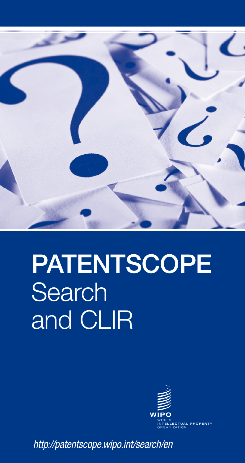

# **PATENTSCOPE** Search and CLIR



*http://patentscope.wipo.int/search/en*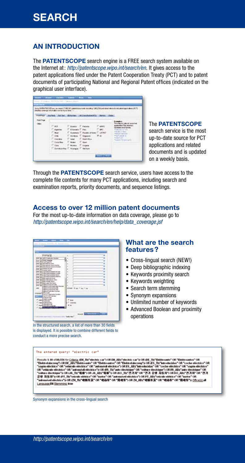### An Introduction

The **PATENTSCOPE** search engine is a FREE search system available on the Internet at: *http://patentscope.wipo.int/search/en*. It gives access to the patent applications filed under the Patent Cooperation Treaty (PCT) and to patent documents of participating National and Regional Patent offices (indicated on the graphical user interface).

|                     | belaikad nomenae inflateration suri tra found twim (11)                 |                                                 |                                                                                                                   | and the contractor data activity. | Juice PATENTSCOPE you can search T.768.081 patent demonstrate investing 1.881.274 published international patent applications (PCT)<br>the committee of the parties. |
|---------------------|-------------------------------------------------------------------------|-------------------------------------------------|-------------------------------------------------------------------------------------------------------------------|-----------------------------------|----------------------------------------------------------------------------------------------------------------------------------------------------------------------|
| <b>Find Faur</b> 12 | ANTWELL FULSEL LETWINS: 14 CONSTANTIES: 194193-12000.                   |                                                 | the part of the principal control and the control of the property of the control of the control of the control of |                                   |                                                                                                                                                                      |
| Forest Proget       | C eer.<br>C. Agentiac                                                   | C. Acaptor  E. Patoea<br>C. Millengeler C. Pate |                                                                                                                   |                                   | <b>Lake Mr. Lewishers</b><br>complete The Avenue<br><b>JANUARY ERE EDERAL</b><br>Collected State In Art 1980                                                         |
|                     | Class 1<br><b>COMMERCIAL</b><br><b>County</b>                           |                                                 | E. Gustanara, E. Rosalto ottavao E. UKIRET<br>T. Horkess, T. Gagainte<br>T total T Such Ship                      |                                   | <b>Allege of Dealer</b><br><b>Neglista and State Co.</b><br><b>Paul card of</b><br><b>Tangillo Bill</b><br><b>Market Grant Service</b>                               |
|                     | Clintown Clean Clean<br>C'èsse<br>C Dennessillo T. Niaragas, T. Verlore | T. Ninkol T. Gujkie                             |                                                                                                                   |                                   |                                                                                                                                                                      |

#### The PATENTSCOPE

search service is the most up-to-date source for PCT applications and related documents and is updated on a weekly basis.

Through the PATENTSCOPE search service, users have access to the complete file contents for many PCT applications, including search and examination reports, priority documents, and sequence listings.

#### Access to over 12 million patent documents

For the most up-to-date information on data coverage, please go to *http://patentscope.wipo.int/search/en/help/data\_coverage.jsf*

| -<br><b>UNTICH B</b><br><b>WE'LL FUND AND TRUNKS</b><br>HD H<br><b>Wallen</b><br>and .<br>i di p<br><b>Sales</b><br>and is reversed<br>m<br><b><i><u>Indica</u></i> Single</b><br>$100 +$<br>in the<br>Fel<br>$-0.0$<br>and-<br>э<br><b>BLANK</b><br>$-5 -$<br><b>BUILD IT AND STAY EVAN</b><br>m<br>insi Puiss Eriki Take<br><b>Bind Francisco Institute</b><br><b>ALC:N</b> | ٠<br>a.<br>×<br>×<br>×<br>÷<br>×<br>D<br>m<br>×<br>ы<br>ä.<br>ч<br>٠<br>٠<br>٠<br>$^{12}$ |
|-------------------------------------------------------------------------------------------------------------------------------------------------------------------------------------------------------------------------------------------------------------------------------------------------------------------------------------------------------------------------------|-------------------------------------------------------------------------------------------|
| i ai                                                                                                                                                                                                                                                                                                                                                                          | <b>Ford Stay</b><br>-<br>500000<br><b>Circ</b>                                            |

In the structured search, a list of more than 30 fields is displayed. It is possible to combine different fields to conduct a more precise search.

#### What are the search features?

- Cross-lingual search (NEW!)
- Deep bibliographic indexing
- Keywords proximity search
- Keywords weighting
- Search term stemming
- • Synonym expansions
- Unlimited number of keywords
- Advanced Boolean and proximity operations

#### The entered query: "electric car"

Results 1-10 of \$0,556 for <u>Criteria;</u> (EH\_Tb("electric car") OR EH\_AB("electric car")) OR (DE\_Tb("Elektroanto" OR "Elektroantos" OR<br>"Telektrofaluzeug") OR DE\_ABa("Elektroanto" OR "Elektroantos" OR "Elektrofaluzeug")) OR o" OR " State Watch PT The Velocity of Watch Product Watch Product De To May 2017 08: Expediate of the Control PT The Velocity of The Total PT The Velocity of The Total PT The Velocity of The Total PT The Velocity of The Total Language FM Stemming to

Synonym expansions in the cross-lingual search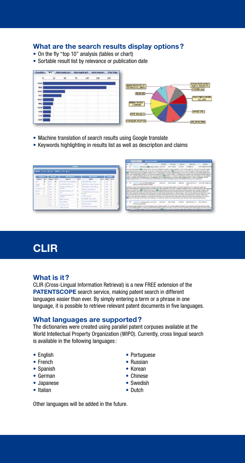#### What are the search results display options?

- On the fly "top 10" analysis (tables or chart)
- Sortable result list by relevance or publication date

|             | PO | <b>ACRES</b><br>. |   |     | <b>Main Freezon</b> | Put Date |                                        |
|-------------|----|-------------------|---|-----|---------------------|----------|----------------------------------------|
|             | 22 | 58                | п | 130 | 125<br>œ            | 158      |                                        |
| HELM        |    |                   |   |     |                     |          | <b>BOLAV DVIR LANAY</b>                |
| <b>MO</b>   |    |                   |   |     |                     |          | <b>TANARA</b>                          |
| <b>FLPL</b> |    |                   |   |     |                     |          | <b>COENC, Jay</b>                      |
| 9833        |    |                   |   |     |                     |          | <b>MARKET</b>                          |
| <b>MADE</b> |    |                   |   |     |                     |          | <b>AGASTBICLEADER</b>                  |
| 1921        |    |                   |   |     |                     |          | <b>THRIS PACIFIC</b><br><b>COMPANY</b> |
| m.          |    |                   |   |     |                     |          |                                        |
| 1006        |    |                   |   |     |                     |          | <b>MINX ITO</b>                        |
| <b>HLAM</b> |    |                   |   |     |                     |          | <b>ROSE Marsid, J.</b>                 |
| 4018        |    |                   |   |     |                     |          | <b>SCORED-TESTSA</b>                   |

- Machine translation of search results using Google translate
- Keywords highlighting in results list as well as description and claims

|   |   |                      |      |                |   |  |             | $\sim$               |
|---|---|----------------------|------|----------------|---|--|-------------|----------------------|
| - |   |                      |      |                |   |  |             | ٠<br><b>SOF</b>      |
|   |   |                      |      |                |   |  |             |                      |
|   |   |                      |      | <b>COLLEGE</b> |   |  |             | $\sim$<br>$\sim$     |
|   | n |                      | - 65 |                | Đ |  |             | <b>Security</b><br>٠ |
|   | v |                      | œ    |                |   |  |             | $-7.7 + -$           |
|   |   |                      |      | 1000           |   |  |             | .                    |
|   |   |                      |      |                |   |  |             | ---<br>n.            |
|   |   |                      |      |                |   |  |             | ---<br>r.            |
|   |   | $\frac{1}{\sqrt{2}}$ |      |                | ğ |  | <b>Mark</b> | a Timo<br>×          |
|   |   |                      |      |                |   |  |             |                      |

|                                     |                                                                                                                                                                                                                                                                                                                                                                                                                                                                                                                                                                                                                                                                                                                                                                                                                                                |                                                                                  | date and |                                                                                                             |                                                                                                                              |
|-------------------------------------|------------------------------------------------------------------------------------------------------------------------------------------------------------------------------------------------------------------------------------------------------------------------------------------------------------------------------------------------------------------------------------------------------------------------------------------------------------------------------------------------------------------------------------------------------------------------------------------------------------------------------------------------------------------------------------------------------------------------------------------------------------------------------------------------------------------------------------------------|----------------------------------------------------------------------------------|----------|-------------------------------------------------------------------------------------------------------------|------------------------------------------------------------------------------------------------------------------------------|
|                                     |                                                                                                                                                                                                                                                                                                                                                                                                                                                                                                                                                                                                                                                                                                                                                                                                                                                |                                                                                  |          |                                                                                                             |                                                                                                                              |
| <b>EEE</b> Transition as the artist | il kasaana vahal lanking anal di geleni Darbyakeria gelirani, AB islamin di sol Divanta kolk oli tangi pikin antukan<br>feature call statistics blood eathers into an incorporation of the first statistic content in its complete to be coming threes to delay for statistics of entro<br>Places 2: decay request on street of your carrier form the \$50 years 11 years to the spinitum content of the transition of the transition<br>make 12 kilomi oli ke dupuka mny. Sia saarani - at ho maa surandor 11 ara-b- any maanu mbin 21 mbin 1 arabawan ndi ho.<br>Frank a Poster critic city. To Column Apr 1 to compare thickers, Alexander Compared to a Column Africa Apr 2                                                                                                                                                                | coast a roll fit, a linky-looker fit pusher regages seeker (it). No rul 17 to be |          |                                                                                                             | dental destar color car Hicken for expects at descriptions in due has been developed as a detail of the competitive colorate |
|                                     | <b>Contract Manager</b><br>arista e manieza frate di ci esere                                                                                                                                                                                                                                                                                                                                                                                                                                                                                                                                                                                                                                                                                                                                                                                  |                                                                                  |          |                                                                                                             |                                                                                                                              |
|                                     |                                                                                                                                                                                                                                                                                                                                                                                                                                                                                                                                                                                                                                                                                                                                                                                                                                                |                                                                                  |          |                                                                                                             |                                                                                                                              |
|                                     | labora das localizados, desembio desempo de los datas nativos del comencera, aos e este constalho interactora<br>lecture is any man add in \$200 mission autorist race of<br><b>PERSONAL PROPERTY AND ARRESTS ASSOCIATE</b><br>without the membership of the state of the continue angle medical politics continue and as industry the material class of all as indicated to include the angle that the con-<br>an capital development of the best results and the control of the state of the control of the content of the content of the angle<br>NEWS CRAFTING WE have also a series that crained the control of the control of the control of the color of the control of the control of the control of<br>\$300 minimum works had been been interested by an animal control of the composition of the animal control of the parties want | demonstrational client conduction in the state for the discussion                |          | the this control policies as a present and the control of the second wide in the real and this good through | al color controller in Automobile<br>dutch continue advanta conceller duration                                               |

## **CLIR**

#### What is it?

CLIR (Cross-Lingual Information Retrieval) is a new FREE extension of the **PATENTSCOPE** search service, making patent search in different languages easier than ever. By simply entering a term or a phrase in one language, it is possible to retrieve relevant patent documents in five languages.

#### What languages are supported?

The dictionaries were created using parallel patent corpuses available at the World Intellectual Property Organization (WIPO). Currently, cross lingual search is available in the following languages :

- 
- French Russian
- Spanish Korean
- 
- Japanese Swedish
- 
- English Portuguese
	-
	-
- German Chinese
	-
- Italian **Dutch**

Other languages will be added in the future.